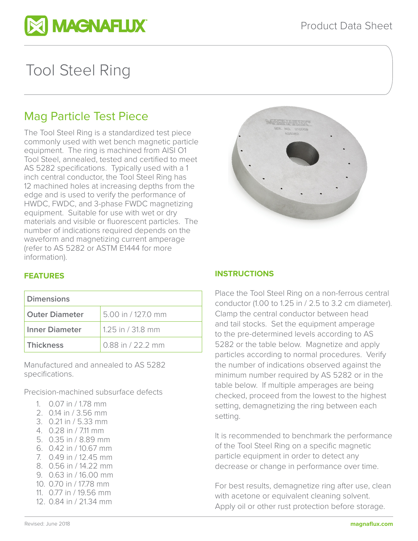

# Tool Steel Ring

## Mag Particle Test Piece

The Tool Steel Ring is a standardized test piece commonly used with wet bench magnetic particle equipment. The ring is machined from AISI O1 Tool Steel, annealed, tested and certified to meet AS 5282 specifications. Typically used with a 1 inch central conductor, the Tool Steel Ring has 12 machined holes at increasing depths from the edge and is used to verify the performance of HWDC, FWDC, and 3-phase FWDC magnetizing equipment. Suitable for use with wet or dry materials and visible or fluorescent particles. The number of indications required depends on the waveform and magnetizing current amperage (refer to AS 5282 or ASTM E1444 for more information).



### **FEATURES**

| <b>Dimensions</b>     |                      |  |
|-----------------------|----------------------|--|
| <b>Outer Diameter</b> | 5.00 in / 127.0 mm   |  |
| <b>Inner Diameter</b> | 1.25 in / 31.8 mm    |  |
| <b>Thickness</b>      | $0.88$ in $/22.2$ mm |  |

Manufactured and annealed to AS 5282 specifications.

Precision-machined subsurface defects

- 1. 0.07 in / 1.78 mm
- 2. 0.14 in / 3.56 mm
- 3. 0.21 in / 5.33 mm
- 4. 0.28 in / 7.11 mm
- 5. 0.35 in / 8.89 mm
- 6. 0.42 in / 10.67 mm
- 7. 0.49 in / 12.45 mm
- 8. 0.56 in / 14.22 mm
- 9. 0.63 in / 16.00 mm 10. 0.70 in / 17.78 mm
- 11. 0.77 in / 19.56 mm
- 12. 0.84 in / 21.34 mm
- 

### **INSTRUCTIONS**

Place the Tool Steel Ring on a non-ferrous central conductor (1.00 to 1.25 in / 2.5 to 3.2 cm diameter). Clamp the central conductor between head and tail stocks. Set the equipment amperage to the pre-determined levels according to AS 5282 or the table below. Magnetize and apply particles according to normal procedures. Verify the number of indications observed against the minimum number required by AS 5282 or in the table below. If multiple amperages are being checked, proceed from the lowest to the highest setting, demagnetizing the ring between each setting.

It is recommended to benchmark the performance of the Tool Steel Ring on a specific magnetic particle equipment in order to detect any decrease or change in performance over time.

For best results, demagnetize ring after use, clean with acetone or equivalent cleaning solvent. Apply oil or other rust protection before storage.